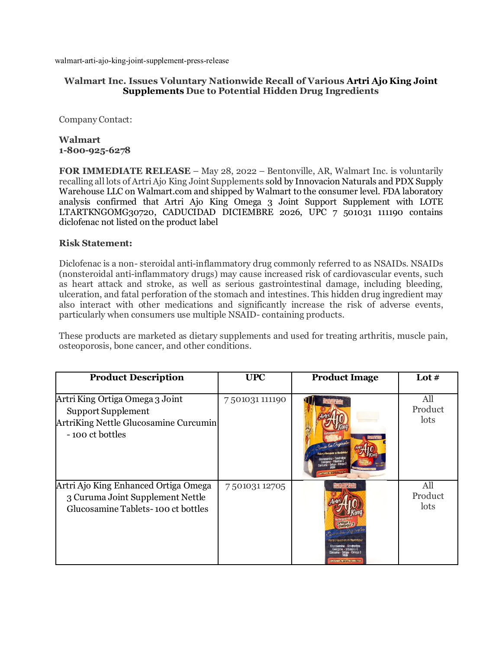walmart-arti-ajo-king-joint-supplement-press-release

## **Walmart Inc. Issues Voluntary Nationwide Recall of Various Artri Ajo King Joint Supplements Due to Potential Hidden Drug Ingredients**

Company Contact:

## **Walmart 1-800-925-6278**

**FOR IMMEDIATE RELEASE** – May 28, 2022 – Bentonville, AR, Walmart Inc. is voluntarily recalling all lots of Artri Ajo King Joint Supplements sold by Innovacion Naturals and PDX Supply Warehouse LLC on Walmart.com and shipped by Walmart to the consumer level. FDA laboratory analysis confirmed that Artri Ajo King Omega 3 Joint Support Supplement with LOTE LTARTKNGOMG30720, CADUCIDAD DICIEMBRE 2026, UPC 7 501031 111190 contains diclofenac not listed on the product label

## **Risk Statement:**

Diclofenac is a non- steroidal anti-inflammatory drug commonly referred to as NSAIDs. NSAIDs (nonsteroidal anti-inflammatory drugs) may cause increased risk of cardiovascular events, such as heart attack and stroke, as well as serious gastrointestinal damage, including bleeding, ulceration, and fatal perforation of the stomach and intestines. This hidden drug ingredient may also interact with other medications and significantly increase the risk of adverse events, particularly when consumers use multiple NSAID- containing products.

These products are marketed as dietary supplements and used for treating arthritis, muscle pain, osteoporosis, bone cancer, and other conditions.

| <b>Product Description</b>                                                                                               | <b>UPC</b>     | <b>Product Image</b>                           | Lot $#$                |
|--------------------------------------------------------------------------------------------------------------------------|----------------|------------------------------------------------|------------------------|
| Artri King Ortiga Omega 3 Joint<br><b>Support Supplement</b><br>ArtriKing Nettle Glucosamine Curcumin<br>-100 ct bottles | 7501031 111190 |                                                | All<br>Product<br>lots |
| Artri Ajo King Enhanced Ortiga Omega<br>3 Curuma Joint Supplement Nettle<br>Glucosamine Tablets-100 ct bottles           | 750103112705   | Ortina - Omena<br>XXITENIDO NETO: 100 TABLETAS | All<br>Product<br>lots |